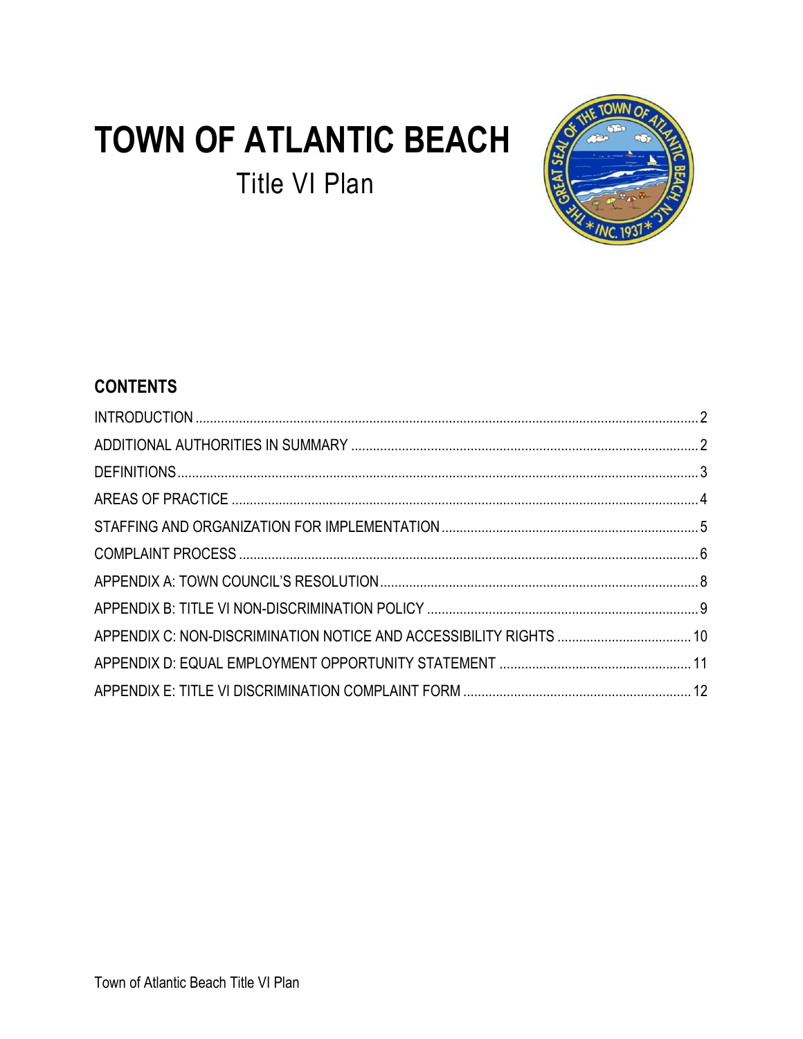# **TOWN OF ATLANTIC BEACH Title VI Plan**



# **CONTENTS**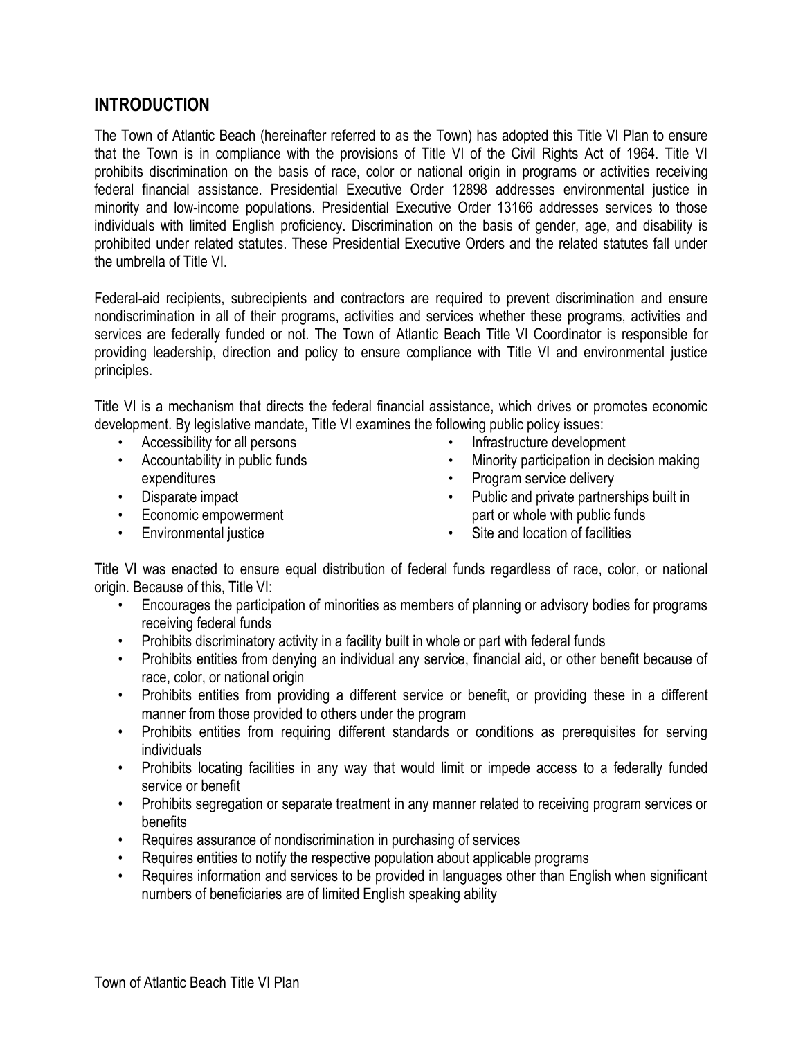#### <span id="page-1-0"></span>**INTRODUCTION**

The Town of Atlantic Beach (hereinafter referred to as the Town) has adopted this Title VI Plan to ensure that the Town is in compliance with the provisions of Title VI of the Civil Rights Act of 1964. Title VI prohibits discrimination on the basis of race, color or national origin in programs or activities receiving federal financial assistance. Presidential Executive Order 12898 addresses environmental justice in minority and low-income populations. Presidential Executive Order 13166 addresses services to those individuals with limited English proficiency. Discrimination on the basis of gender, age, and disability is prohibited under related statutes. These Presidential Executive Orders and the related statutes fall under the umbrella of Title VI.

Federal-aid recipients, subrecipients and contractors are required to prevent discrimination and ensure nondiscrimination in all of their programs, activities and services whether these programs, activities and services are federally funded or not. The Town of Atlantic Beach Title VI Coordinator is responsible for providing leadership, direction and policy to ensure compliance with Title VI and environmental justice principles.

Title VI is a mechanism that directs the federal financial assistance, which drives or promotes economic development. By legislative mandate, Title VI examines the following public policy issues:

- Accessibility for all persons
- Accountability in public funds expenditures
- Disparate impact
- Economic empowerment
- Environmental justice
- Infrastructure development
- Minority participation in decision making
- Program service delivery
- Public and private partnerships built in part or whole with public funds
- Site and location of facilities

Title VI was enacted to ensure equal distribution of federal funds regardless of race, color, or national origin. Because of this, Title VI:

- Encourages the participation of minorities as members of planning or advisory bodies for programs receiving federal funds
- Prohibits discriminatory activity in a facility built in whole or part with federal funds
- Prohibits entities from denying an individual any service, financial aid, or other benefit because of race, color, or national origin
- Prohibits entities from providing a different service or benefit, or providing these in a different manner from those provided to others under the program
- Prohibits entities from requiring different standards or conditions as prerequisites for serving individuals
- Prohibits locating facilities in any way that would limit or impede access to a federally funded service or benefit
- Prohibits segregation or separate treatment in any manner related to receiving program services or benefits
- Requires assurance of nondiscrimination in purchasing of services
- Requires entities to notify the respective population about applicable programs
- Requires information and services to be provided in languages other than English when significant numbers of beneficiaries are of limited English speaking ability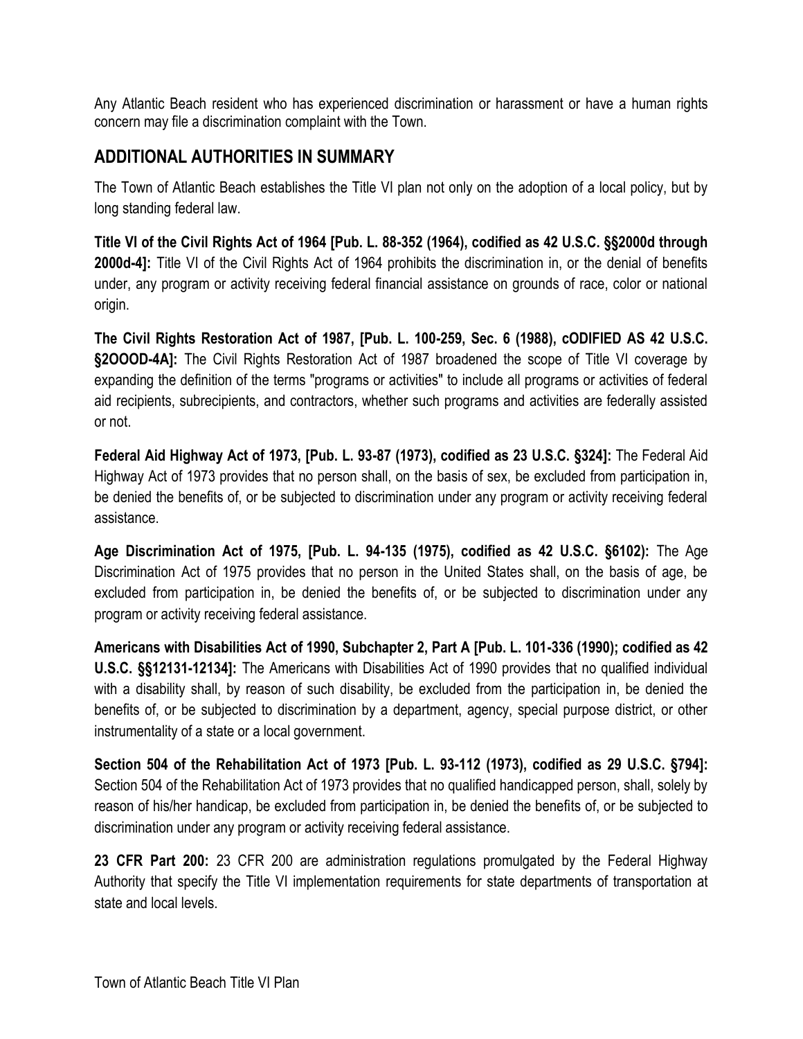Any Atlantic Beach resident who has experienced discrimination or harassment or have a human rights concern may file a discrimination complaint with the Town.

# <span id="page-2-0"></span>**ADDITIONAL AUTHORITIES IN SUMMARY**

The Town of Atlantic Beach establishes the Title VI plan not only on the adoption of a local policy, but by long standing federal law.

**Title VI of the Civil Rights Act of 1964 [Pub. L. 88-352 (1964), codified as 42 U.S.C. §§2000d through 2000d-4]:** Title VI of the Civil Rights Act of 1964 prohibits the discrimination in, or the denial of benefits under, any program or activity receiving federal financial assistance on grounds of race, color or national origin.

**The Civil Rights Restoration Act of 1987, [Pub. L. 100-259, Sec. 6 (1988), cODIFIED AS 42 U.S.C. §2OOOD-4A]:** The Civil Rights Restoration Act of 1987 broadened the scope of Title VI coverage by expanding the definition of the terms "programs or activities" to include all programs or activities of federal aid recipients, subrecipients, and contractors, whether such programs and activities are federally assisted or not.

**Federal Aid Highway Act of 1973, [Pub. L. 93-87 (1973), codified as 23 U.S.C. §324]:** The Federal Aid Highway Act of 1973 provides that no person shall, on the basis of sex, be excluded from participation in, be denied the benefits of, or be subjected to discrimination under any program or activity receiving federal assistance.

**Age Discrimination Act of 1975, [Pub. L. 94-135 (1975), codified as 42 U.S.C. §6102):** The Age Discrimination Act of 1975 provides that no person in the United States shall, on the basis of age, be excluded from participation in, be denied the benefits of, or be subjected to discrimination under any program or activity receiving federal assistance.

**Americans with Disabilities Act of 1990, Subchapter 2, Part A [Pub. L. 101-336 (1990); codified as 42 U.S.C. §§12131-12134]:** The Americans with Disabilities Act of 1990 provides that no qualified individual with a disability shall, by reason of such disability, be excluded from the participation in, be denied the benefits of, or be subjected to discrimination by a department, agency, special purpose district, or other instrumentality of a state or a local government.

**Section 504 of the Rehabilitation Act of 1973 [Pub. L. 93-112 (1973), codified as 29 U.S.C. §794]:** Section 504 of the Rehabilitation Act of 1973 provides that no qualified handicapped person, shall, solely by reason of his/her handicap, be excluded from participation in, be denied the benefits of, or be subjected to discrimination under any program or activity receiving federal assistance.

**23 CFR Part 200:** 23 CFR 200 are administration regulations promulgated by the Federal Highway Authority that specify the Title VI implementation requirements for state departments of transportation at state and local levels.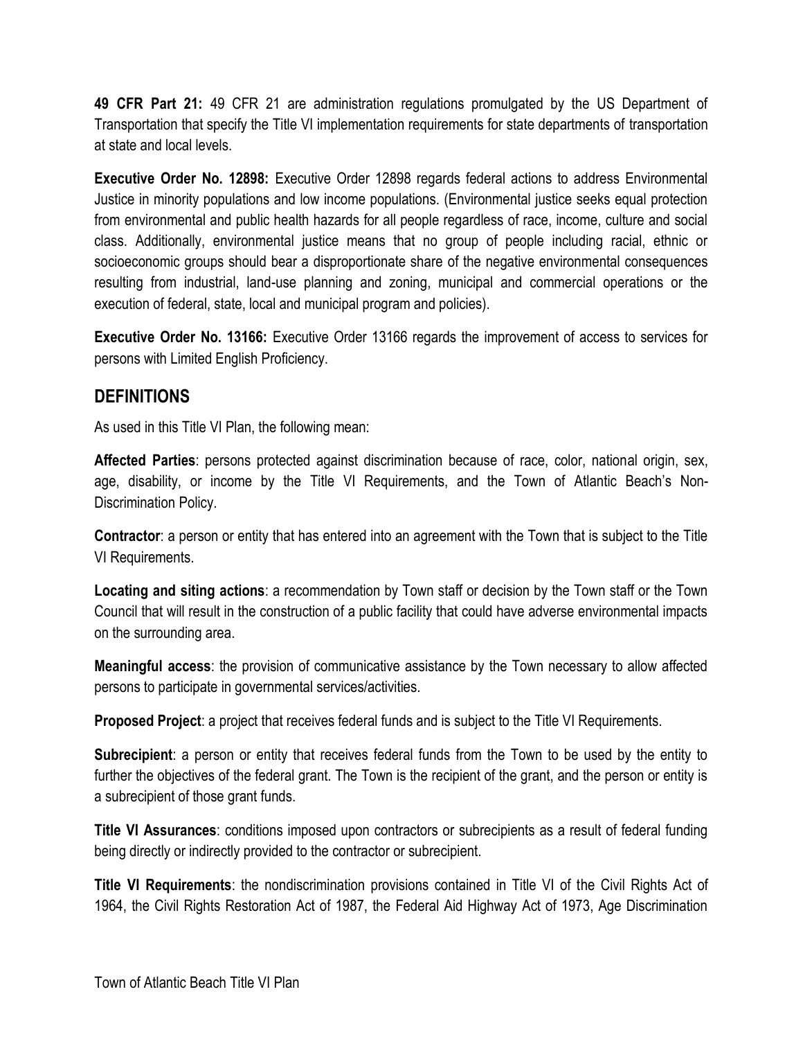**49 CFR Part 21:** 49 CFR 21 are administration regulations promulgated by the US Department of Transportation that specify the Title VI implementation requirements for state departments of transportation at state and local levels.

**Executive Order No. 12898:** Executive Order 12898 regards federal actions to address Environmental Justice in minority populations and low income populations. (Environmental justice seeks equal protection from environmental and public health hazards for all people regardless of race, income, culture and social class. Additionally, environmental justice means that no group of people including racial, ethnic or socioeconomic groups should bear a disproportionate share of the negative environmental consequences resulting from industrial, land-use planning and zoning, municipal and commercial operations or the execution of federal, state, local and municipal program and policies).

**Executive Order No. 13166:** Executive Order 13166 regards the improvement of access to services for persons with Limited English Proficiency.

#### <span id="page-3-0"></span>**DEFINITIONS**

As used in this Title VI Plan, the following mean:

**Affected Parties**: persons protected against discrimination because of race, color, national origin, sex, age, disability, or income by the Title VI Requirements, and the Town of Atlantic Beach's Non-Discrimination Policy.

**Contractor**: a person or entity that has entered into an agreement with the Town that is subject to the Title VI Requirements.

**Locating and siting actions**: a recommendation by Town staff or decision by the Town staff or the Town Council that will result in the construction of a public facility that could have adverse environmental impacts on the surrounding area.

**Meaningful access**: the provision of communicative assistance by the Town necessary to allow affected persons to participate in governmental services/activities.

**Proposed Project**: a project that receives federal funds and is subject to the Title VI Requirements.

**Subrecipient**: a person or entity that receives federal funds from the Town to be used by the entity to further the objectives of the federal grant. The Town is the recipient of the grant, and the person or entity is a subrecipient of those grant funds.

**Title VI Assurances**: conditions imposed upon contractors or subrecipients as a result of federal funding being directly or indirectly provided to the contractor or subrecipient.

**Title VI Requirements**: the nondiscrimination provisions contained in Title VI of the Civil Rights Act of 1964, the Civil Rights Restoration Act of 1987, the Federal Aid Highway Act of 1973, Age Discrimination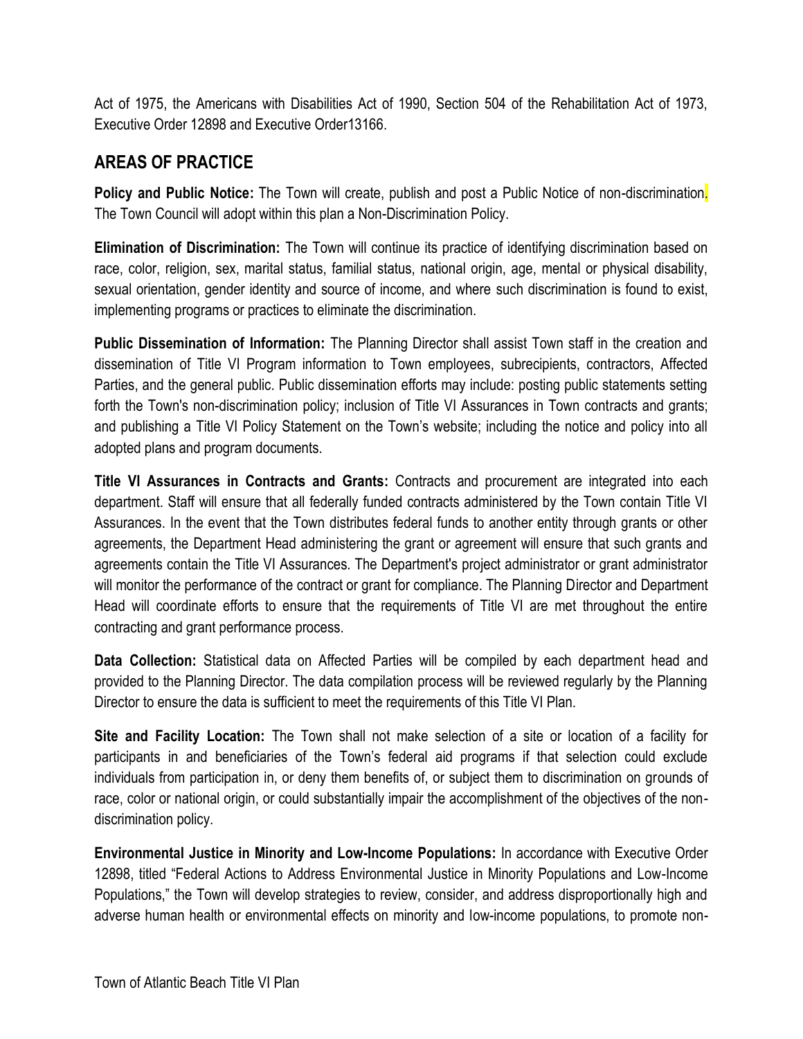Act of 1975, the Americans with Disabilities Act of 1990, Section 504 of the Rehabilitation Act of 1973, Executive Order 12898 and Executive Order13166.

# <span id="page-4-0"></span>**AREAS OF PRACTICE**

**Policy and Public Notice:** The Town will create, publish and post a Public Notice of non-discrimination. The Town Council will adopt within this plan a Non-Discrimination Policy.

**Elimination of Discrimination:** The Town will continue its practice of identifying discrimination based on race, color, religion, sex, marital status, familial status, national origin, age, mental or physical disability, sexual orientation, gender identity and source of income, and where such discrimination is found to exist, implementing programs or practices to eliminate the discrimination.

**Public Dissemination of Information:** The Planning Director shall assist Town staff in the creation and dissemination of Title VI Program information to Town employees, subrecipients, contractors, Affected Parties, and the general public. Public dissemination efforts may include: posting public statements setting forth the Town's non-discrimination policy; inclusion of Title VI Assurances in Town contracts and grants; and publishing a Title VI Policy Statement on the Town's website; including the notice and policy into all adopted plans and program documents.

**Title VI Assurances in Contracts and Grants:** Contracts and procurement are integrated into each department. Staff will ensure that all federally funded contracts administered by the Town contain Title VI Assurances. In the event that the Town distributes federal funds to another entity through grants or other agreements, the Department Head administering the grant or agreement will ensure that such grants and agreements contain the Title VI Assurances. The Department's project administrator or grant administrator will monitor the performance of the contract or grant for compliance. The Planning Director and Department Head will coordinate efforts to ensure that the requirements of Title VI are met throughout the entire contracting and grant performance process.

**Data Collection:** Statistical data on Affected Parties will be compiled by each department head and provided to the Planning Director. The data compilation process will be reviewed regularly by the Planning Director to ensure the data is sufficient to meet the requirements of this Title VI Plan.

**Site and Facility Location:** The Town shall not make selection of a site or location of a facility for participants in and beneficiaries of the Town's federal aid programs if that selection could exclude individuals from participation in, or deny them benefits of, or subject them to discrimination on grounds of race, color or national origin, or could substantially impair the accomplishment of the objectives of the nondiscrimination policy.

**Environmental Justice in Minority and Low-Income Populations:** In accordance with Executive Order 12898, titled "Federal Actions to Address Environmental Justice in Minority Populations and Low-Income Populations," the Town will develop strategies to review, consider, and address disproportionally high and adverse human health or environmental effects on minority and low-income populations, to promote non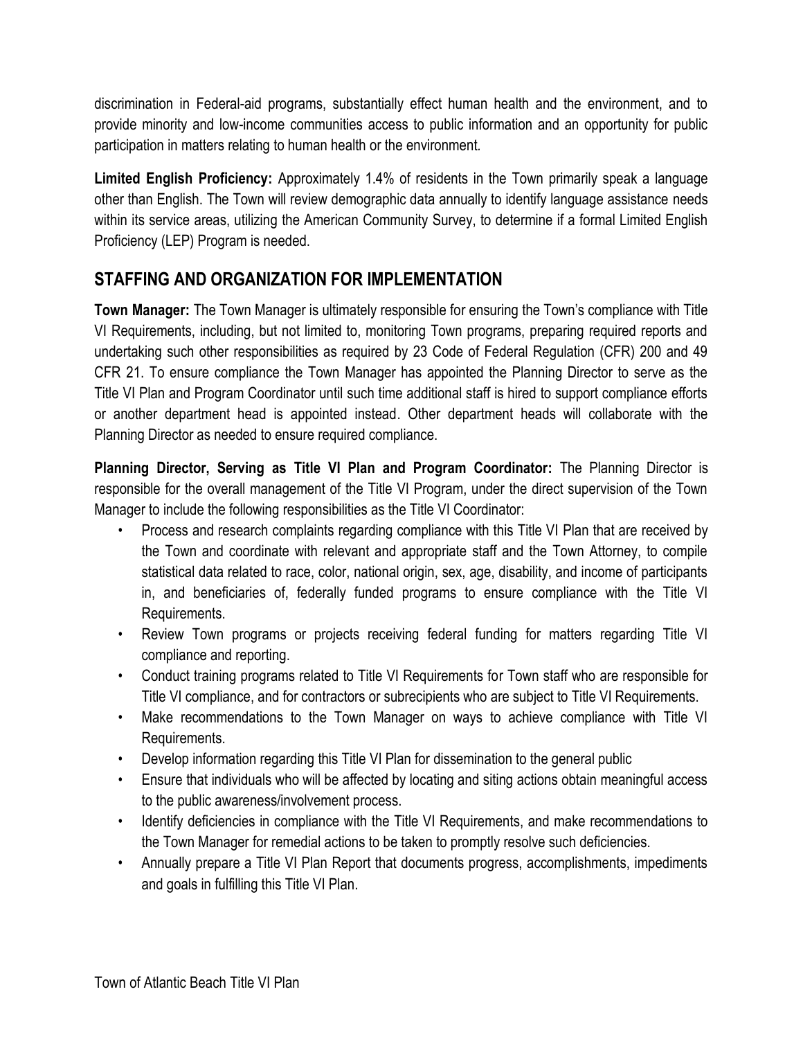discrimination in Federal-aid programs, substantially effect human health and the environment, and to provide minority and low-income communities access to public information and an opportunity for public participation in matters relating to human health or the environment*.*

**Limited English Proficiency:** Approximately 1.4% of residents in the Town primarily speak a language other than English. The Town will review demographic data annually to identify language assistance needs within its service areas, utilizing the American Community Survey, to determine if a formal Limited English Proficiency (LEP) Program is needed.

# <span id="page-5-0"></span>**STAFFING AND ORGANIZATION FOR IMPLEMENTATION**

**Town Manager:** The Town Manager is ultimately responsible for ensuring the Town's compliance with Title VI Requirements, including, but not limited to, monitoring Town programs, preparing required reports and undertaking such other responsibilities as required by 23 Code of Federal Regulation (CFR) 200 and 49 CFR 21. To ensure compliance the Town Manager has appointed the Planning Director to serve as the Title VI Plan and Program Coordinator until such time additional staff is hired to support compliance efforts or another department head is appointed instead. Other department heads will collaborate with the Planning Director as needed to ensure required compliance.

**Planning Director, Serving as Title VI Plan and Program Coordinator:** The Planning Director is responsible for the overall management of the Title VI Program, under the direct supervision of the Town Manager to include the following responsibilities as the Title VI Coordinator:

- Process and research complaints regarding compliance with this Title VI Plan that are received by the Town and coordinate with relevant and appropriate staff and the Town Attorney, to compile statistical data related to race, color, national origin, sex, age, disability, and income of participants in, and beneficiaries of, federally funded programs to ensure compliance with the Title VI Requirements.
- Review Town programs or projects receiving federal funding for matters regarding Title VI compliance and reporting.
- Conduct training programs related to Title VI Requirements for Town staff who are responsible for Title VI compliance, and for contractors or subrecipients who are subject to Title VI Requirements.
- Make recommendations to the Town Manager on ways to achieve compliance with Title VI Requirements.
- Develop information regarding this Title VI Plan for dissemination to the general public
- Ensure that individuals who will be affected by locating and siting actions obtain meaningful access to the public awareness/involvement process.
- Identify deficiencies in compliance with the Title VI Requirements, and make recommendations to the Town Manager for remedial actions to be taken to promptly resolve such deficiencies.
- Annually prepare a Title VI Plan Report that documents progress, accomplishments, impediments and goals in fulfilling this Title VI Plan.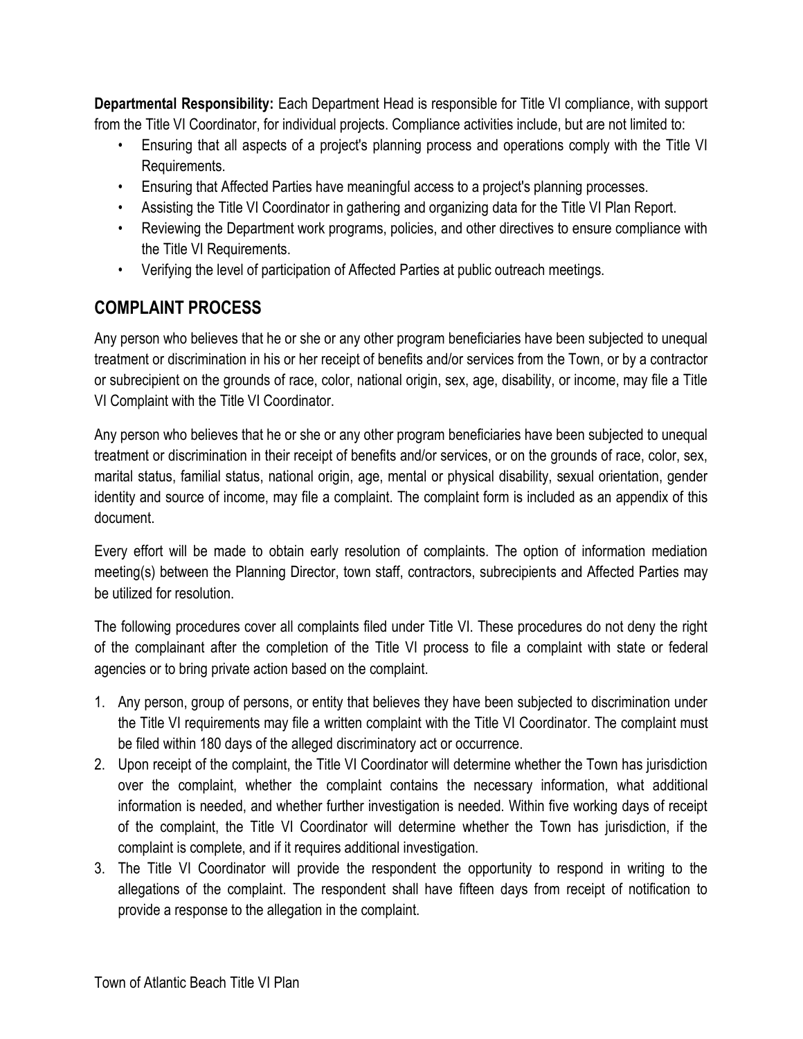**Departmental Responsibility:** Each Department Head is responsible for Title VI compliance, with support from the Title VI Coordinator, for individual projects. Compliance activities include, but are not limited to:

- Ensuring that all aspects of a project's planning process and operations comply with the Title VI Requirements.
- Ensuring that Affected Parties have meaningful access to a project's planning processes.
- Assisting the Title VI Coordinator in gathering and organizing data for the Title VI Plan Report.
- Reviewing the Department work programs, policies, and other directives to ensure compliance with the Title VI Requirements.
- Verifying the level of participation of Affected Parties at public outreach meetings.

# <span id="page-6-0"></span>**COMPLAINT PROCESS**

Any person who believes that he or she or any other program beneficiaries have been subjected to unequal treatment or discrimination in his or her receipt of benefits and/or services from the Town, or by a contractor or subrecipient on the grounds of race, color, national origin, sex, age, disability, or income, may file a Title VI Complaint with the Title VI Coordinator.

Any person who believes that he or she or any other program beneficiaries have been subjected to unequal treatment or discrimination in their receipt of benefits and/or services, or on the grounds of race, color, sex, marital status, familial status, national origin, age, mental or physical disability, sexual orientation, gender identity and source of income, may file a complaint. The complaint form is included as an appendix of this document.

Every effort will be made to obtain early resolution of complaints. The option of information mediation meeting(s) between the Planning Director, town staff, contractors, subrecipients and Affected Parties may be utilized for resolution.

The following procedures cover all complaints filed under Title VI. These procedures do not deny the right of the complainant after the completion of the Title VI process to file a complaint with state or federal agencies or to bring private action based on the complaint.

- 1. Any person, group of persons, or entity that believes they have been subjected to discrimination under the Title VI requirements may file a written complaint with the Title VI Coordinator. The complaint must be filed within 180 days of the alleged discriminatory act or occurrence.
- 2. Upon receipt of the complaint, the Title VI Coordinator will determine whether the Town has jurisdiction over the complaint, whether the complaint contains the necessary information, what additional information is needed, and whether further investigation is needed. Within five working days of receipt of the complaint, the Title VI Coordinator will determine whether the Town has jurisdiction, if the complaint is complete, and if it requires additional investigation.
- 3. The Title VI Coordinator will provide the respondent the opportunity to respond in writing to the allegations of the complaint. The respondent shall have fifteen days from receipt of notification to provide a response to the allegation in the complaint.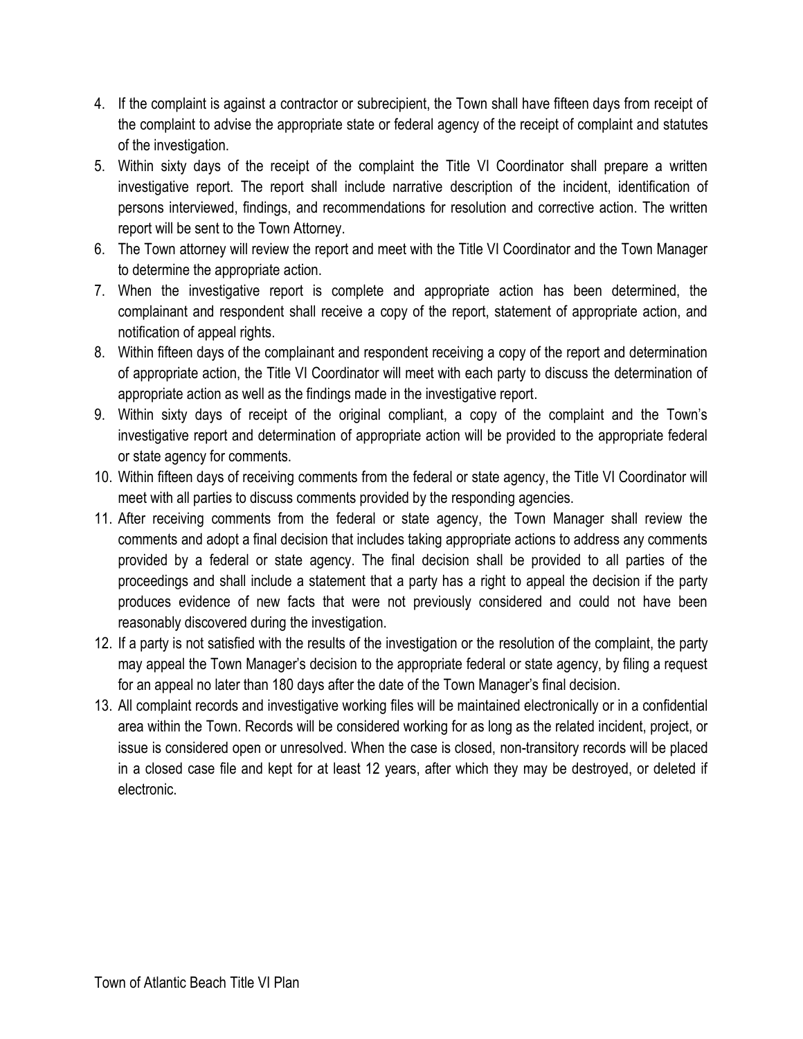- 4. If the complaint is against a contractor or subrecipient, the Town shall have fifteen days from receipt of the complaint to advise the appropriate state or federal agency of the receipt of complaint and statutes of the investigation.
- 5. Within sixty days of the receipt of the complaint the Title VI Coordinator shall prepare a written investigative report. The report shall include narrative description of the incident, identification of persons interviewed, findings, and recommendations for resolution and corrective action. The written report will be sent to the Town Attorney.
- 6. The Town attorney will review the report and meet with the Title VI Coordinator and the Town Manager to determine the appropriate action.
- 7. When the investigative report is complete and appropriate action has been determined, the complainant and respondent shall receive a copy of the report, statement of appropriate action, and notification of appeal rights.
- 8. Within fifteen days of the complainant and respondent receiving a copy of the report and determination of appropriate action, the Title VI Coordinator will meet with each party to discuss the determination of appropriate action as well as the findings made in the investigative report.
- 9. Within sixty days of receipt of the original compliant, a copy of the complaint and the Town's investigative report and determination of appropriate action will be provided to the appropriate federal or state agency for comments.
- 10. Within fifteen days of receiving comments from the federal or state agency, the Title VI Coordinator will meet with all parties to discuss comments provided by the responding agencies.
- 11. After receiving comments from the federal or state agency, the Town Manager shall review the comments and adopt a final decision that includes taking appropriate actions to address any comments provided by a federal or state agency. The final decision shall be provided to all parties of the proceedings and shall include a statement that a party has a right to appeal the decision if the party produces evidence of new facts that were not previously considered and could not have been reasonably discovered during the investigation.
- 12. If a party is not satisfied with the results of the investigation or the resolution of the complaint, the party may appeal the Town Manager's decision to the appropriate federal or state agency, by filing a request for an appeal no later than 180 days after the date of the Town Manager's final decision.
- 13. All complaint records and investigative working files will be maintained electronically or in a confidential area within the Town. Records will be considered working for as long as the related incident, project, or issue is considered open or unresolved. When the case is closed, non-transitory records will be placed in a closed case file and kept for at least 12 years, after which they may be destroyed, or deleted if electronic.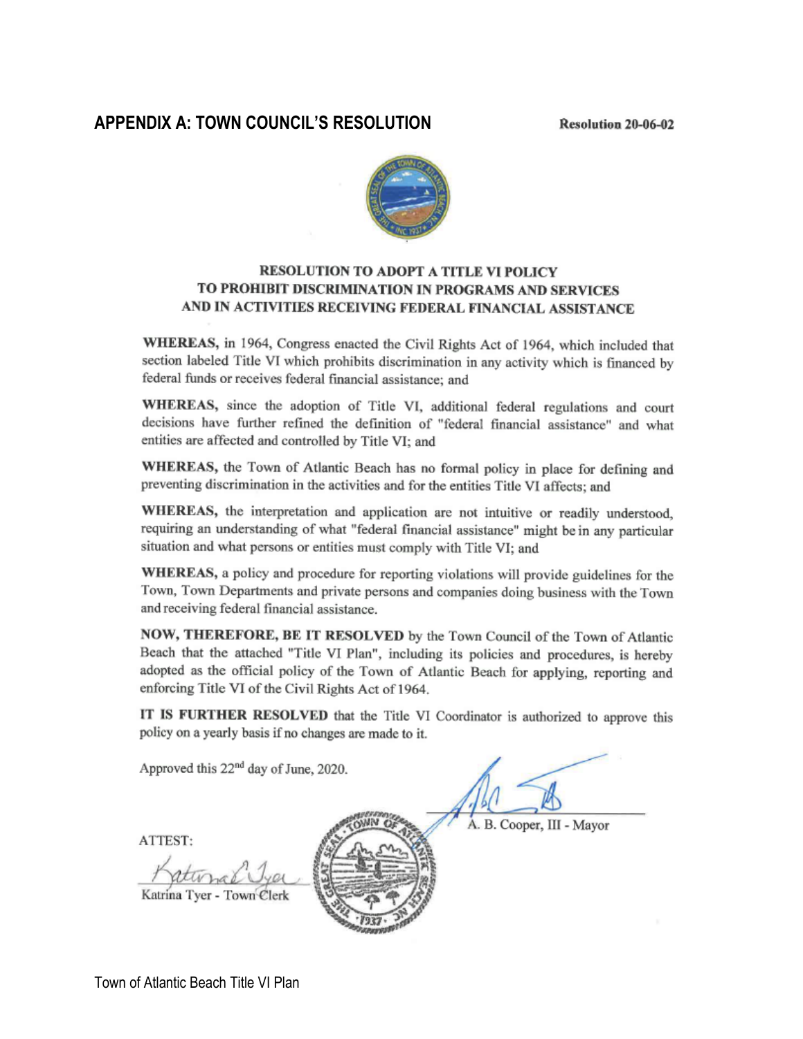#### <span id="page-8-0"></span>**APPENDIX A: TOWN COUNCIL'S RESOLUTION**

**Resolution 20-06-02** 



#### **RESOLUTION TO ADOPT A TITLE VI POLICY** TO PROHIBIT DISCRIMINATION IN PROGRAMS AND SERVICES AND IN ACTIVITIES RECEIVING FEDERAL FINANCIAL ASSISTANCE

WHEREAS, in 1964, Congress enacted the Civil Rights Act of 1964, which included that section labeled Title VI which prohibits discrimination in any activity which is financed by federal funds or receives federal financial assistance; and

WHEREAS, since the adoption of Title VI, additional federal regulations and court decisions have further refined the definition of "federal financial assistance" and what entities are affected and controlled by Title VI; and

WHEREAS, the Town of Atlantic Beach has no formal policy in place for defining and preventing discrimination in the activities and for the entities Title VI affects; and

WHEREAS, the interpretation and application are not intuitive or readily understood, requiring an understanding of what "federal financial assistance" might be in any particular situation and what persons or entities must comply with Title VI; and

WHEREAS, a policy and procedure for reporting violations will provide guidelines for the Town, Town Departments and private persons and companies doing business with the Town and receiving federal financial assistance.

NOW, THEREFORE, BE IT RESOLVED by the Town Council of the Town of Atlantic Beach that the attached "Title VI Plan", including its policies and procedures, is hereby adopted as the official policy of the Town of Atlantic Beach for applying, reporting and enforcing Title VI of the Civil Rights Act of 1964.

IT IS FURTHER RESOLVED that the Title VI Coordinator is authorized to approve this policy on a yearly basis if no changes are made to it.

Approved this 22<sup>nd</sup> day of June, 2020. A. B. Cooper, III - Mayor **ATTEST:** Katrina Tyer - Town Clerk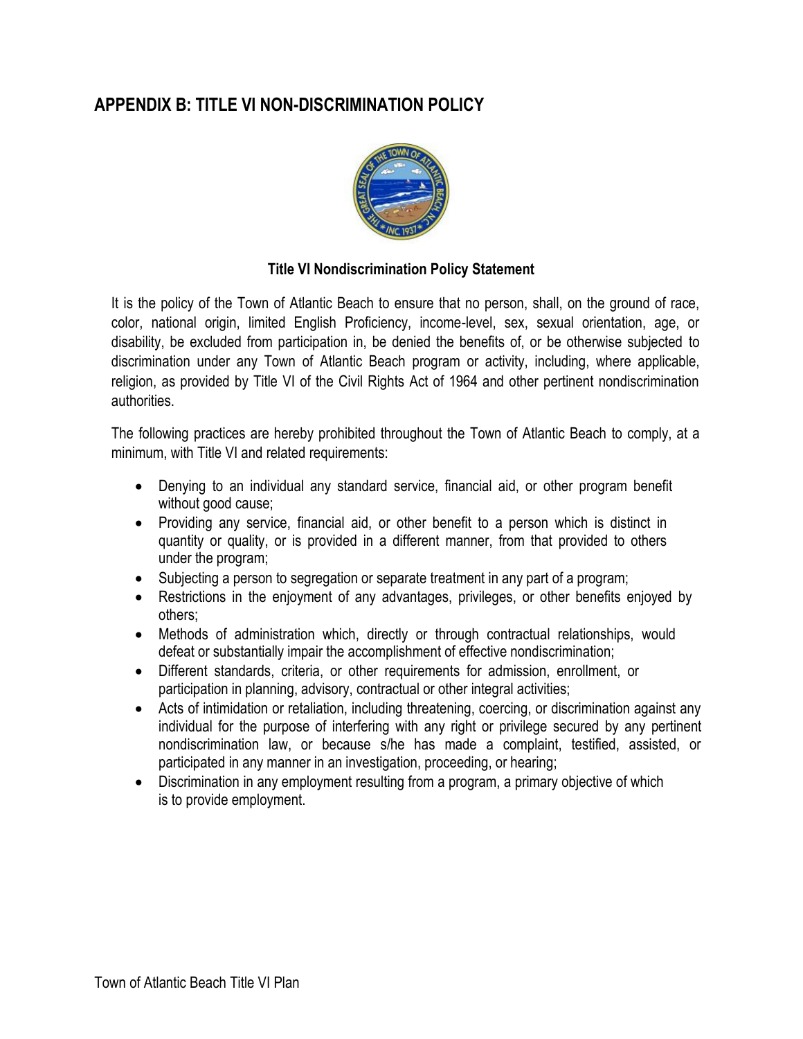# <span id="page-9-0"></span>**APPENDIX B: TITLE VI NON-DISCRIMINATION POLICY**



#### **Title VI Nondiscrimination Policy Statement**

It is the policy of the Town of Atlantic Beach to ensure that no person, shall, on the ground of race, color, national origin, limited English Proficiency, income-level, sex, sexual orientation, age, or disability, be excluded from participation in, be denied the benefits of, or be otherwise subjected to discrimination under any Town of Atlantic Beach program or activity, including, where applicable, religion, as provided by Title VI of the Civil Rights Act of 1964 and other pertinent nondiscrimination authorities.

The following practices are hereby prohibited throughout the Town of Atlantic Beach to comply, at a minimum, with Title VI and related requirements:

- Denying to an individual any standard service, financial aid, or other program benefit without good cause;
- Providing any service, financial aid, or other benefit to a person which is distinct in quantity or quality, or is provided in a different manner, from that provided to others under the program;
- Subjecting a person to segregation or separate treatment in any part of a program;
- Restrictions in the enjoyment of any advantages, privileges, or other benefits enjoyed by others;
- Methods of administration which, directly or through contractual relationships, would defeat or substantially impair the accomplishment of effective nondiscrimination;
- Different standards, criteria, or other requirements for admission, enrollment, or participation in planning, advisory, contractual or other integral activities;
- Acts of intimidation or retaliation, including threatening, coercing, or discrimination against any individual for the purpose of interfering with any right or privilege secured by any pertinent nondiscrimination law, or because s/he has made a complaint, testified, assisted, or participated in any manner in an investigation, proceeding, or hearing;
- Discrimination in any employment resulting from a program, a primary objective of which is to provide employment.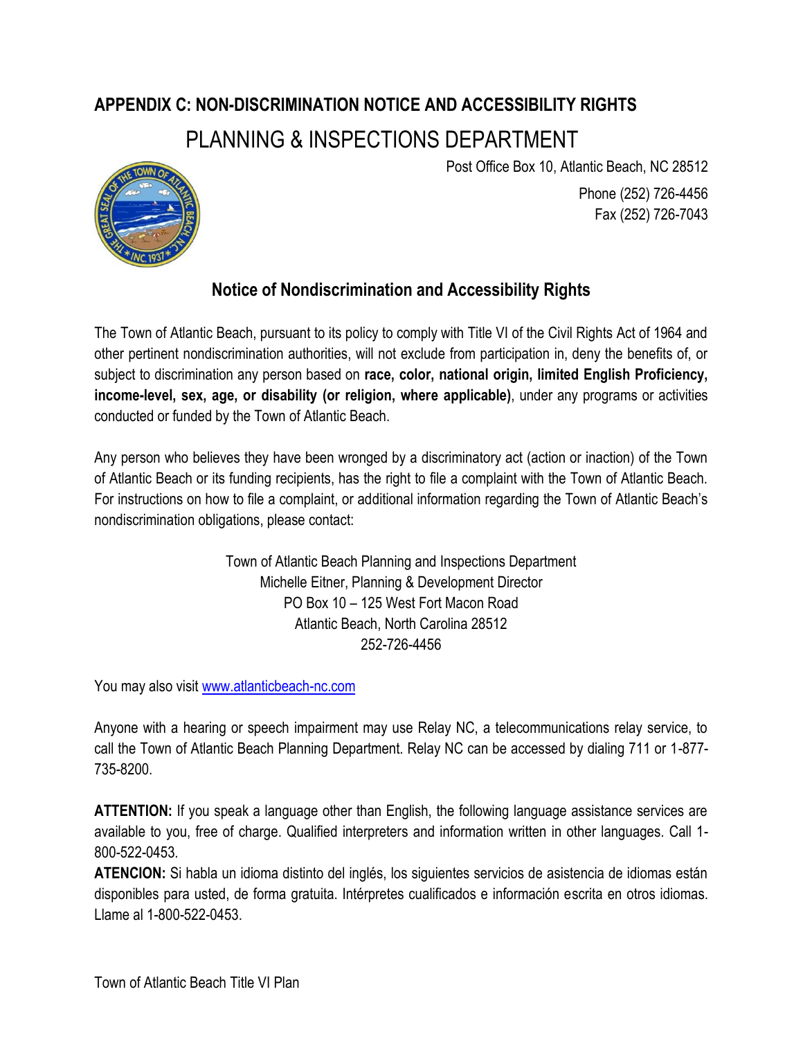# <span id="page-10-0"></span>**APPENDIX C: NON-DISCRIMINATION NOTICE AND ACCESSIBILITY RIGHTS**  PLANNING & INSPECTIONS DEPARTMENT



Post Office Box 10, Atlantic Beach, NC 28512

Phone (252) 726-4456 Fax (252) 726-7043

# **Notice of Nondiscrimination and Accessibility Rights**

The Town of Atlantic Beach, pursuant to its policy to comply with Title VI of the Civil Rights Act of 1964 and other pertinent nondiscrimination authorities, will not exclude from participation in, deny the benefits of, or subject to discrimination any person based on **race, color, national origin, limited English Proficiency, income-level, sex, age, or disability (or religion, where applicable)**, under any programs or activities conducted or funded by the Town of Atlantic Beach.

Any person who believes they have been wronged by a discriminatory act (action or inaction) of the Town of Atlantic Beach or its funding recipients, has the right to file a complaint with the Town of Atlantic Beach. For instructions on how to file a complaint, or additional information regarding the Town of Atlantic Beach's nondiscrimination obligations, please contact:

> Town of Atlantic Beach Planning and Inspections Department Michelle Eitner, Planning & Development Director PO Box 10 – 125 West Fort Macon Road Atlantic Beach, North Carolina 28512 252-726-4456

You may also visit [www.atlanticbeach-nc.com](http://www.atlanticbeach-nc.com/)

Anyone with a hearing or speech impairment may use Relay NC, a telecommunications relay service, to call the Town of Atlantic Beach Planning Department. Relay NC can be accessed by dialing 711 or 1-877- 735-8200.

**ATTENTION:** If you speak a language other than English, the following language assistance services are available to you, free of charge. Qualified interpreters and information written in other languages. Call 1- 800-522-0453.

**ATENCION:** Si habla un idioma distinto del inglés, los siguientes servicios de asistencia de idiomas están disponibles para usted, de forma gratuita. Intérpretes cualificados e información escrita en otros idiomas. Llame al 1-800-522-0453.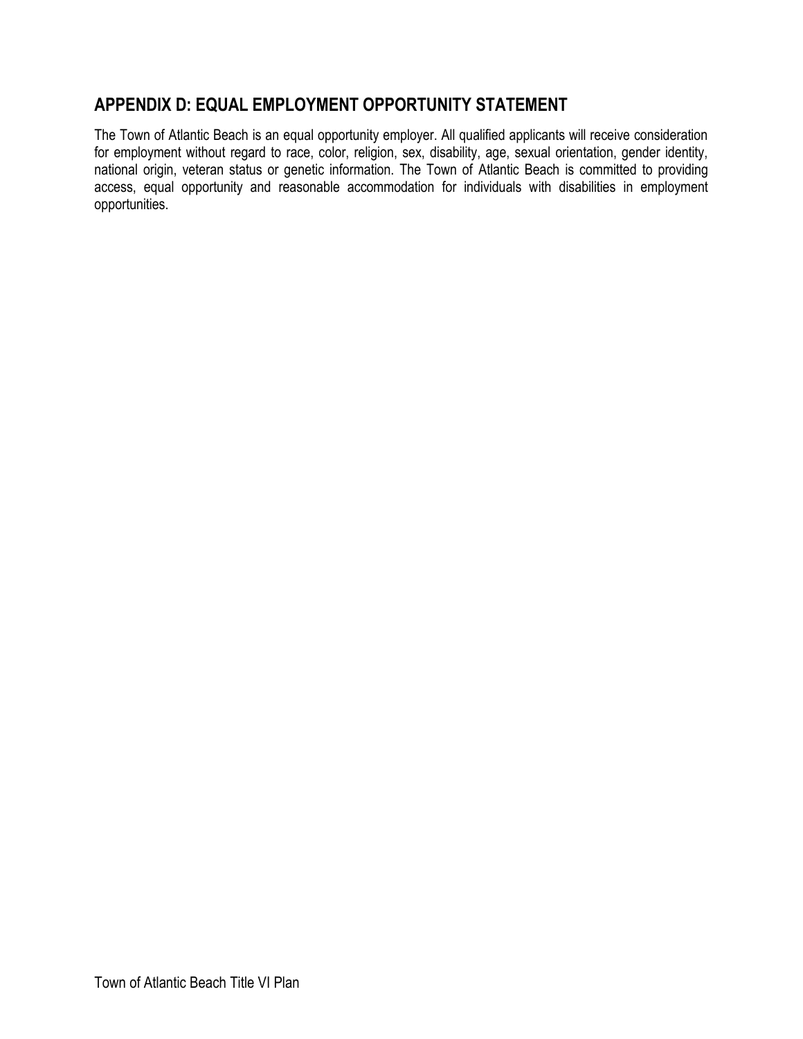### <span id="page-11-0"></span>**APPENDIX D: EQUAL EMPLOYMENT OPPORTUNITY STATEMENT**

The Town of Atlantic Beach is an equal opportunity employer. All qualified applicants will receive consideration for employment without regard to race, color, religion, sex, disability, age, sexual orientation, gender identity, national origin, veteran status or genetic information. The Town of Atlantic Beach is committed to providing access, equal opportunity and reasonable accommodation for individuals with disabilities in employment opportunities.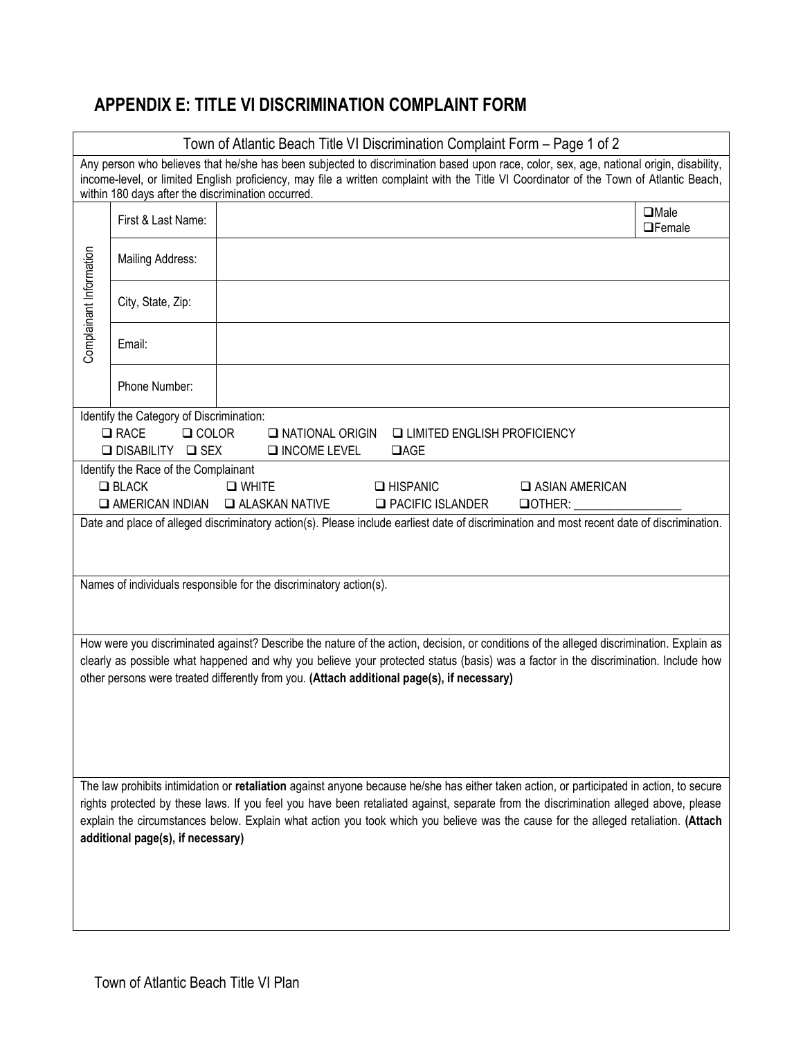# <span id="page-12-0"></span>**APPENDIX E: TITLE VI DISCRIMINATION COMPLAINT FORM**

| Town of Atlantic Beach Title VI Discrimination Complaint Form - Page 1 of 2 |                                                          |                                                                                                                                                                                                                                                                                    |                              |  |  |
|-----------------------------------------------------------------------------|----------------------------------------------------------|------------------------------------------------------------------------------------------------------------------------------------------------------------------------------------------------------------------------------------------------------------------------------------|------------------------------|--|--|
|                                                                             | within 180 days after the discrimination occurred.       | Any person who believes that he/she has been subjected to discrimination based upon race, color, sex, age, national origin, disability,<br>income-level, or limited English proficiency, may file a written complaint with the Title VI Coordinator of the Town of Atlantic Beach, |                              |  |  |
|                                                                             | First & Last Name:                                       |                                                                                                                                                                                                                                                                                    | $\Box$ Male<br>$\Box$ Female |  |  |
|                                                                             | Mailing Address:                                         |                                                                                                                                                                                                                                                                                    |                              |  |  |
| Complainant Information                                                     | City, State, Zip:                                        |                                                                                                                                                                                                                                                                                    |                              |  |  |
|                                                                             | Email:                                                   |                                                                                                                                                                                                                                                                                    |                              |  |  |
|                                                                             | Phone Number:                                            |                                                                                                                                                                                                                                                                                    |                              |  |  |
|                                                                             | Identify the Category of Discrimination:                 |                                                                                                                                                                                                                                                                                    |                              |  |  |
|                                                                             | $\Box$ RACE<br>$\Box$ COLOR<br><b>□ DISABILITY □ SEX</b> | I NATIONAL ORIGIN<br>LIMITED ENGLISH PROFICIENCY<br>$\square$ INCOME LEVEL<br>$\Box$ AGE                                                                                                                                                                                           |                              |  |  |
|                                                                             | Identify the Race of the Complainant                     |                                                                                                                                                                                                                                                                                    |                              |  |  |
|                                                                             | $\Box$ BLACK                                             | $\Box$ WHITE<br>$\Box$ HISPANIC                                                                                                                                                                                                                                                    | <b>Q ASIAN AMERICAN</b>      |  |  |
|                                                                             | $\Box$ AMERICAN INDIAN                                   | <b>EXAMPLE ALASKAN NATIVE</b><br><b>Q PACIFIC ISLANDER</b><br>$\Box$ OTHER:                                                                                                                                                                                                        |                              |  |  |
|                                                                             |                                                          | Date and place of alleged discriminatory action(s). Please include earliest date of discrimination and most recent date of discrimination.                                                                                                                                         |                              |  |  |
|                                                                             |                                                          |                                                                                                                                                                                                                                                                                    |                              |  |  |
|                                                                             |                                                          | Names of individuals responsible for the discriminatory action(s).                                                                                                                                                                                                                 |                              |  |  |
|                                                                             |                                                          |                                                                                                                                                                                                                                                                                    |                              |  |  |
|                                                                             |                                                          |                                                                                                                                                                                                                                                                                    |                              |  |  |
|                                                                             |                                                          | How were you discriminated against? Describe the nature of the action, decision, or conditions of the alleged discrimination. Explain as                                                                                                                                           |                              |  |  |
|                                                                             |                                                          | clearly as possible what happened and why you believe your protected status (basis) was a factor in the discrimination. Include how                                                                                                                                                |                              |  |  |
|                                                                             |                                                          | other persons were treated differently from you. (Attach additional page(s), if necessary)                                                                                                                                                                                         |                              |  |  |
|                                                                             |                                                          |                                                                                                                                                                                                                                                                                    |                              |  |  |
|                                                                             |                                                          |                                                                                                                                                                                                                                                                                    |                              |  |  |
|                                                                             |                                                          |                                                                                                                                                                                                                                                                                    |                              |  |  |
|                                                                             |                                                          |                                                                                                                                                                                                                                                                                    |                              |  |  |
|                                                                             |                                                          | The law prohibits intimidation or retaliation against anyone because he/she has either taken action, or participated in action, to secure<br>rights protected by these laws. If you feel you have been retaliated against, separate from the discrimination alleged above, please  |                              |  |  |
|                                                                             |                                                          | explain the circumstances below. Explain what action you took which you believe was the cause for the alleged retaliation. (Attach                                                                                                                                                 |                              |  |  |
| additional page(s), if necessary)                                           |                                                          |                                                                                                                                                                                                                                                                                    |                              |  |  |
|                                                                             |                                                          |                                                                                                                                                                                                                                                                                    |                              |  |  |
|                                                                             |                                                          |                                                                                                                                                                                                                                                                                    |                              |  |  |
|                                                                             |                                                          |                                                                                                                                                                                                                                                                                    |                              |  |  |
|                                                                             |                                                          |                                                                                                                                                                                                                                                                                    |                              |  |  |